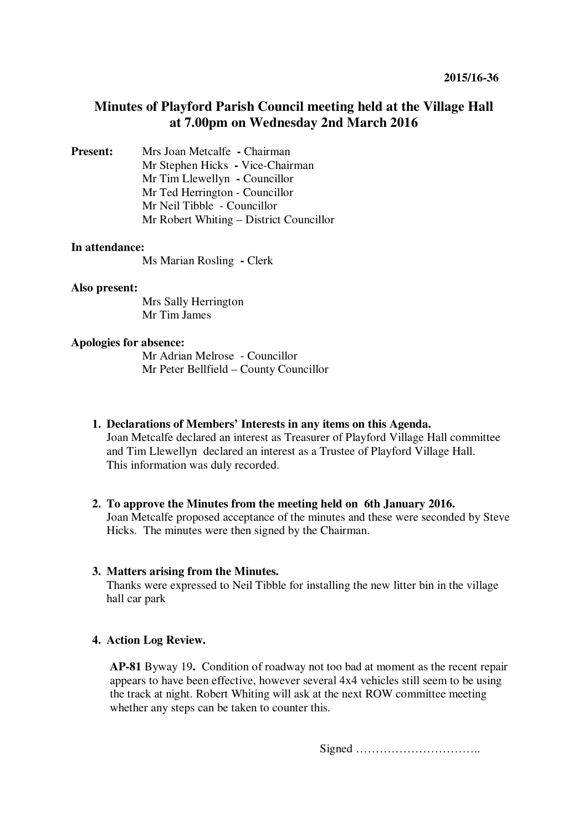# **Minutes of Playford Parish Council meeting held at the Village Hall at 7.00pm on Wednesday 2nd March 2016**

**Present:** Mrs Joan Metcalfe **- Chairman** Mr Stephen Hicks **-** Vice-Chairman Mr Tim Llewellyn **-** Councillor Mr Ted Herrington - Councillor Mr Neil Tibble - Councillor Mr Robert Whiting – District Councillor

#### **In attendance:**

Ms Marian Rosling **-** Clerk

#### **Also present:**

 Mrs Sally Herrington Mr Tim James

#### **Apologies for absence:**

Mr Adrian Melrose - Councillor Mr Peter Bellfield – County Councillor

- **1. Declarations of Members' Interests in any items on this Agenda.**  Joan Metcalfe declared an interest as Treasurer of Playford Village Hall committee and Tim Llewellyn declared an interest as a Trustee of Playford Village Hall. This information was duly recorded.
- **2. To approve the Minutes from the meeting held on 6th January 2016.**  Joan Metcalfe proposed acceptance of the minutes and these were seconded by Steve Hicks. The minutes were then signed by the Chairman.

#### **3. Matters arising from the Minutes.**

Thanks were expressed to Neil Tibble for installing the new litter bin in the village hall car park

#### **4. Action Log Review.**

**AP-81** Byway 19**.** Condition of roadway not too bad at moment as the recent repair appears to have been effective, however several 4x4 vehicles still seem to be using the track at night. Robert Whiting will ask at the next ROW committee meeting whether any steps can be taken to counter this.

Signed …………………………..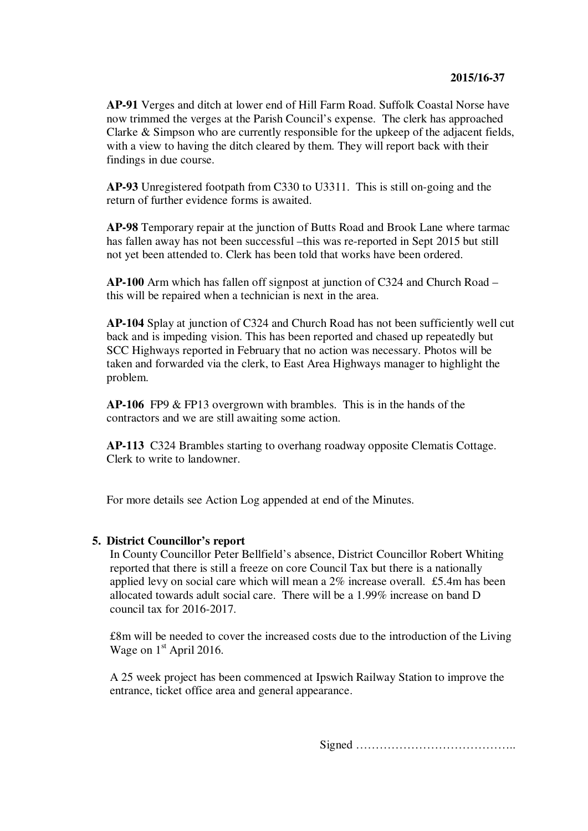**AP-91** Verges and ditch at lower end of Hill Farm Road. Suffolk Coastal Norse have now trimmed the verges at the Parish Council's expense. The clerk has approached Clarke & Simpson who are currently responsible for the upkeep of the adjacent fields, with a view to having the ditch cleared by them. They will report back with their findings in due course.

**AP-93** Unregistered footpath from C330 to U3311. This is still on-going and the return of further evidence forms is awaited.

**AP-98** Temporary repair at the junction of Butts Road and Brook Lane where tarmac has fallen away has not been successful –this was re-reported in Sept 2015 but still not yet been attended to. Clerk has been told that works have been ordered.

**AP-100** Arm which has fallen off signpost at junction of C324 and Church Road – this will be repaired when a technician is next in the area.

**AP-104** Splay at junction of C324 and Church Road has not been sufficiently well cut back and is impeding vision. This has been reported and chased up repeatedly but SCC Highways reported in February that no action was necessary. Photos will be taken and forwarded via the clerk, to East Area Highways manager to highlight the problem.

**AP-106** FP9 & FP13 overgrown with brambles. This is in the hands of the contractors and we are still awaiting some action.

**AP-113** C324 Brambles starting to overhang roadway opposite Clematis Cottage. Clerk to write to landowner.

For more details see Action Log appended at end of the Minutes.

# **5. District Councillor's report**

In County Councillor Peter Bellfield's absence, District Councillor Robert Whiting reported that there is still a freeze on core Council Tax but there is a nationally applied levy on social care which will mean a 2% increase overall. £5.4m has been allocated towards adult social care. There will be a 1.99% increase on band D council tax for 2016-2017.

£8m will be needed to cover the increased costs due to the introduction of the Living Wage on  $1<sup>st</sup>$  April 2016.

A 25 week project has been commenced at Ipswich Railway Station to improve the entrance, ticket office area and general appearance.

Signed …………………………………..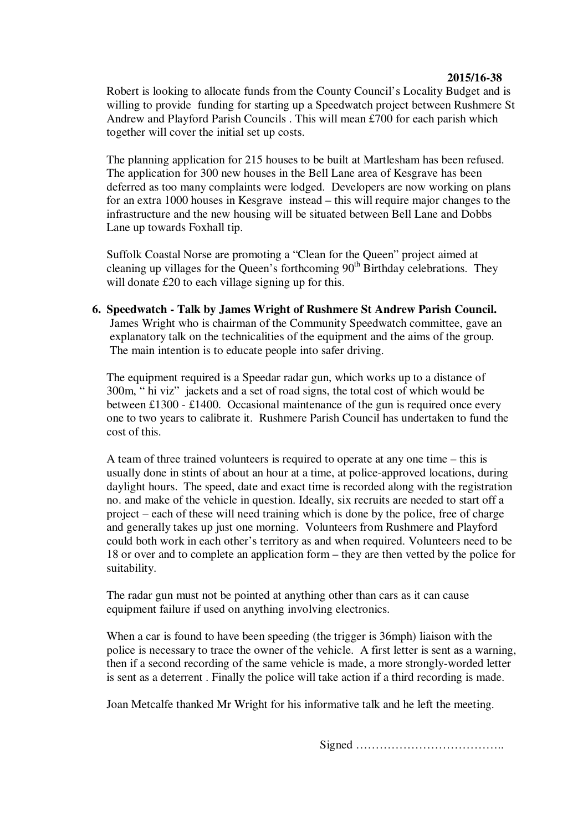### **2015/16-38**

Robert is looking to allocate funds from the County Council's Locality Budget and is willing to provide funding for starting up a Speedwatch project between Rushmere St Andrew and Playford Parish Councils . This will mean £700 for each parish which together will cover the initial set up costs.

The planning application for 215 houses to be built at Martlesham has been refused. The application for 300 new houses in the Bell Lane area of Kesgrave has been deferred as too many complaints were lodged. Developers are now working on plans for an extra 1000 houses in Kesgrave instead – this will require major changes to the infrastructure and the new housing will be situated between Bell Lane and Dobbs Lane up towards Foxhall tip.

Suffolk Coastal Norse are promoting a "Clean for the Queen" project aimed at cleaning up villages for the Queen's forthcoming  $90<sup>th</sup>$  Birthday celebrations. They will donate £20 to each village signing up for this.

**6. Speedwatch - Talk by James Wright of Rushmere St Andrew Parish Council.** James Wright who is chairman of the Community Speedwatch committee, gave an explanatory talk on the technicalities of the equipment and the aims of the group. The main intention is to educate people into safer driving.

The equipment required is a Speedar radar gun, which works up to a distance of 300m, " hi viz" jackets and a set of road signs, the total cost of which would be between £1300 - £1400. Occasional maintenance of the gun is required once every one to two years to calibrate it. Rushmere Parish Council has undertaken to fund the cost of this.

A team of three trained volunteers is required to operate at any one time – this is usually done in stints of about an hour at a time, at police-approved locations, during daylight hours. The speed, date and exact time is recorded along with the registration no. and make of the vehicle in question. Ideally, six recruits are needed to start off a project – each of these will need training which is done by the police, free of charge and generally takes up just one morning. Volunteers from Rushmere and Playford could both work in each other's territory as and when required. Volunteers need to be 18 or over and to complete an application form – they are then vetted by the police for suitability.

The radar gun must not be pointed at anything other than cars as it can cause equipment failure if used on anything involving electronics.

When a car is found to have been speeding (the trigger is 36mph) liaison with the police is necessary to trace the owner of the vehicle. A first letter is sent as a warning, then if a second recording of the same vehicle is made, a more strongly-worded letter is sent as a deterrent . Finally the police will take action if a third recording is made.

Joan Metcalfe thanked Mr Wright for his informative talk and he left the meeting.

Signed ………………………………..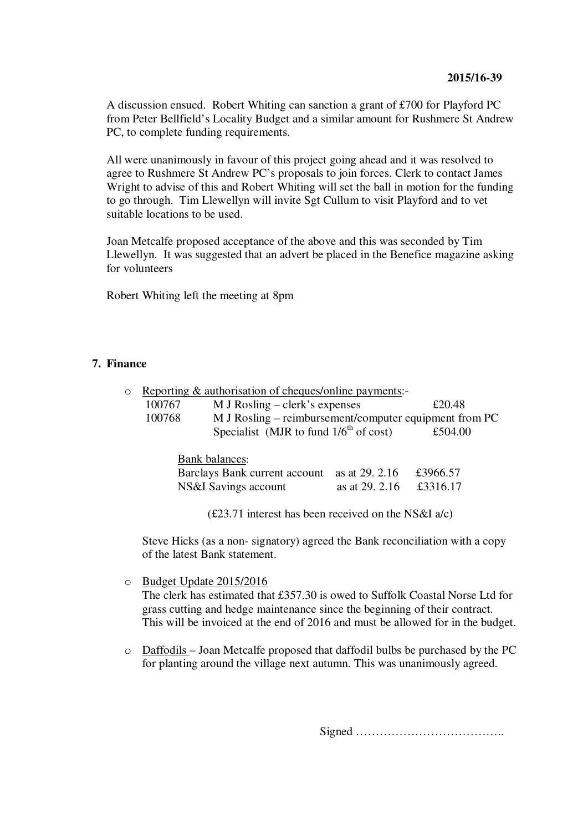A discussion ensued. Robert Whiting can sanction a grant of £700 for Playford PC from Peter Bellfield's Locality Budget and a similar amount for Rushmere St Andrew PC, to complete funding requirements.

All were unanimously in favour of this project going ahead and it was resolved to agree to Rushmere St Andrew PC's proposals to join forces. Clerk to contact James Wright to advise of this and Robert Whiting will set the ball in motion for the funding to go through. Tim Llewellyn will invite Sgt Cullum to visit Playford and to vet suitable locations to be used.

Joan Metcalfe proposed acceptance of the above and this was seconded by Tim Llewellyn. It was suggested that an advert be placed in the Benefice magazine asking for volunteers

Robert Whiting left the meeting at 8pm

# **7. Finance**

| $\circ$ | Reporting & authorisation of cheques/online payments:-           |                                             |                |          |
|---------|------------------------------------------------------------------|---------------------------------------------|----------------|----------|
|         | 100767<br>$M$ J Rosling – clerk's expenses                       |                                             |                | £20.48   |
|         | M J Rosling – reimbursement/computer equipment from PC<br>100768 |                                             |                |          |
|         |                                                                  | Specialist (MJR to fund $1/6^{th}$ of cost) |                | £504.00  |
|         | <b>Bank balances:</b>                                            |                                             |                |          |
|         | Barclays Bank current account                                    |                                             | as at 29. 2.16 | £3966.57 |
|         |                                                                  | NS&I Savings account                        | as at 29, 2.16 | £3316.17 |

(£23.71 interest has been received on the NS&I a/c)

Steve Hicks (as a non- signatory) agreed the Bank reconciliation with a copy of the latest Bank statement.

o Budget Update 2015/2016

The clerk has estimated that £357.30 is owed to Suffolk Coastal Norse Ltd for grass cutting and hedge maintenance since the beginning of their contract. This will be invoiced at the end of 2016 and must be allowed for in the budget.

o Daffodils – Joan Metcalfe proposed that daffodil bulbs be purchased by the PC for planting around the village next autumn. This was unanimously agreed.

Signed ………………………………..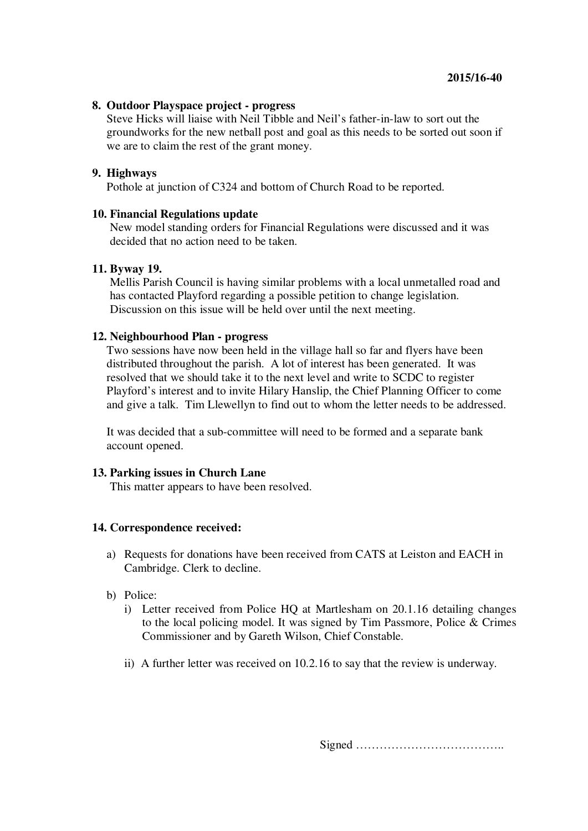### **8. Outdoor Playspace project - progress**

Steve Hicks will liaise with Neil Tibble and Neil's father-in-law to sort out the groundworks for the new netball post and goal as this needs to be sorted out soon if we are to claim the rest of the grant money.

### **9. Highways**

Pothole at junction of C324 and bottom of Church Road to be reported.

### **10. Financial Regulations update**

New model standing orders for Financial Regulations were discussed and it was decided that no action need to be taken.

#### **11. Byway 19.**

Mellis Parish Council is having similar problems with a local unmetalled road and has contacted Playford regarding a possible petition to change legislation. Discussion on this issue will be held over until the next meeting.

### **12. Neighbourhood Plan - progress**

Two sessions have now been held in the village hall so far and flyers have been distributed throughout the parish. A lot of interest has been generated. It was resolved that we should take it to the next level and write to SCDC to register Playford's interest and to invite Hilary Hanslip, the Chief Planning Officer to come and give a talk. Tim Llewellyn to find out to whom the letter needs to be addressed.

It was decided that a sub-committee will need to be formed and a separate bank account opened.

#### **13. Parking issues in Church Lane**

This matter appears to have been resolved.

# **14. Correspondence received:**

- a) Requests for donations have been received from CATS at Leiston and EACH in Cambridge. Clerk to decline.
- b) Police:
	- i) Letter received from Police HQ at Martlesham on 20.1.16 detailing changes to the local policing model. It was signed by Tim Passmore, Police & Crimes Commissioner and by Gareth Wilson, Chief Constable.
	- ii) A further letter was received on 10.2.16 to say that the review is underway.

Signed ………………………………..